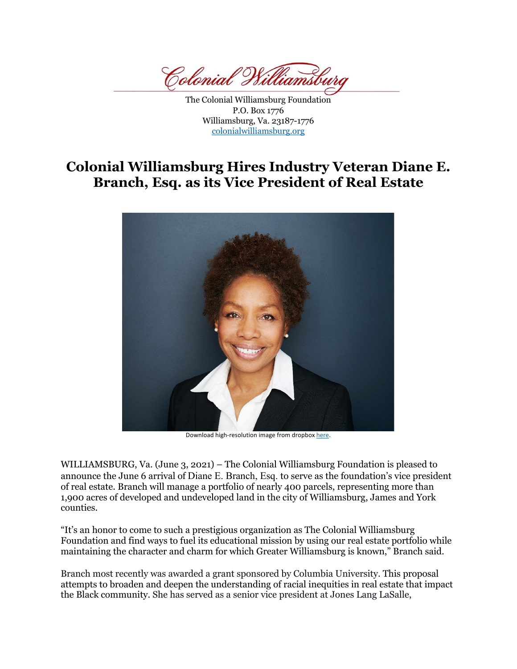Colonial Vs.

The Colonial Williamsburg Foundation P.O. Box 1776 Williamsburg, Va. 23187-1776 colonialwilliamsburg.org

## **Colonial Williamsburg Hires Industry Veteran Diane E. Branch, Esq. as its Vice President of Real Estate**



Download high-resolution image from dropbox here.

WILLIAMSBURG, Va. (June 3, 2021) – The Colonial Williamsburg Foundation is pleased to announce the June 6 arrival of Diane E. Branch, Esq. to serve as the foundation's vice president of real estate. Branch will manage a portfolio of nearly 400 parcels, representing more than 1,900 acres of developed and undeveloped land in the city of Williamsburg, James and York counties.

"It's an honor to come to such a prestigious organization as The Colonial Williamsburg Foundation and find ways to fuel its educational mission by using our real estate portfolio while maintaining the character and charm for which Greater Williamsburg is known," Branch said.

Branch most recently was awarded a grant sponsored by Columbia University. This proposal attempts to broaden and deepen the understanding of racial inequities in real estate that impact the Black community. She has served as a senior vice president at Jones Lang LaSalle,